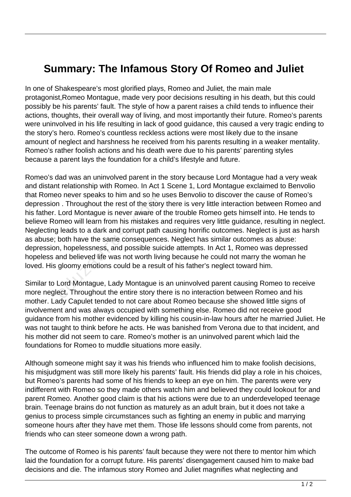## **Summary: The Infamous Story Of Romeo and Juliet**

In one of Shakespeare's most glorified plays, Romeo and Juliet, the main male protagonist,Romeo Montague, made very poor decisions resulting in his death, but this could possibly be his parents' fault. The style of how a parent raises a child tends to influence their actions, thoughts, their overall way of living, and most importantly their future. Romeo's parents were uninvolved in his life resulting in lack of good guidance, this caused a very tragic ending to the story's hero. Romeo's countless reckless actions were most likely due to the insane amount of neglect and harshness he received from his parents resulting in a weaker mentality. Romeo's rather foolish actions and his death were due to his parents' parenting styles because a parent lays the foundation for a child's lifestyle and future.

Romeo's dad was an uninvolved parent in the story because Lord Montague had a very weak and distant relationship with Romeo. In Act 1 Scene 1, Lord Montague exclaimed to Benvolio that Romeo never speaks to him and so he uses Benvolio to discover the cause of Romeo's depression . Throughout the rest of the story there is very little interaction between Romeo and his father. Lord Montague is never aware of the trouble Romeo gets himself into. He tends to believe Romeo will learn from his mistakes and requires very little guidance, resulting in neglect. Neglecting leads to a dark and corrupt path causing horrific outcomes. Neglect is just as harsh as abuse; both have the same consequences. Neglect has similar outcomes as abuse: depression, hopelessness, and possible suicide attempts. In Act 1, Romeo was depressed hopeless and believed life was not worth living because he could not marry the woman he loved. His gloomy emotions could be a result of his father's neglect toward him. end the rest of the story<br>Lord Montague is never aware of<br>meo will learn from his mistakes a<br>leads to a dark and corrupt path<br>both have the same consequence<br>n, hopelessness, and possible suid<br>and believed life was not wort

Similar to Lord Montague, Lady Montague is an uninvolved parent causing Romeo to receive more neglect. Throughout the entire story there is no interaction between Romeo and his mother. Lady Capulet tended to not care about Romeo because she showed little signs of involvement and was always occupied with something else. Romeo did not receive good guidance from his mother evidenced by killing his cousin-in-law hours after he married Juliet. He was not taught to think before he acts. He was banished from Verona due to that incident, and his mother did not seem to care. Romeo's mother is an uninvolved parent which laid the foundations for Romeo to muddle situations more easily.

Although someone might say it was his friends who influenced him to make foolish decisions, his misjudgment was still more likely his parents' fault. His friends did play a role in his choices, but Romeo's parents had some of his friends to keep an eye on him. The parents were very indifferent with Romeo so they made others watch him and believed they could lookout for and parent Romeo. Another good claim is that his actions were due to an underdeveloped teenage brain. Teenage brains do not function as maturely as an adult brain, but it does not take a genius to process simple circumstances such as fighting an enemy in public and marrying someone hours after they have met them. Those life lessons should come from parents, not friends who can steer someone down a wrong path.

The outcome of Romeo is his parents' fault because they were not there to mentor him which laid the foundation for a corrupt future. His parents' disengagement caused him to make bad decisions and die. The infamous story Romeo and Juliet magnifies what neglecting and